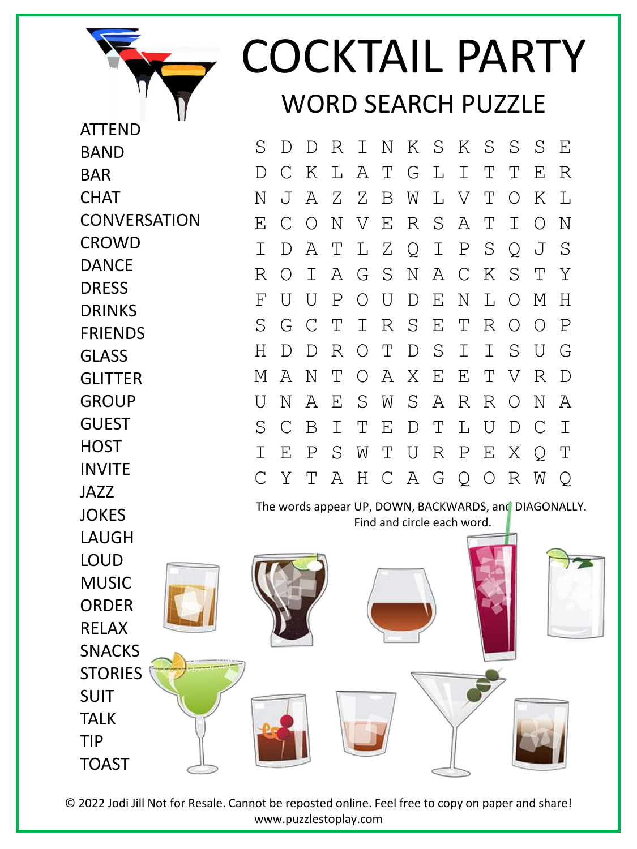

ATTEND

## COCKTAIL PARTY WORD SEARCH PUZZLE

The words appear UP, DOWN, BACKWARDS, and DIAGONALLY. Find and circle each word. **BAND** BAR **CHAT CONVERSATION CROWD** DANCE DRESS DRINKS FRIENDS GLASS **GLITTER GROUP** GUEST **HOST** INVITE JAZZ **JOKES** LAUGH LOUD MUSIC ORDER RELAX SNACKS **STORIES** SUIT TALK TIP TOAST S D D R I N K S K S S S E D C K L A T G L I T T E R N J A Z Z B W L V T O K L E C O N V E R S A T I O N I D A T L Z Q I P S Q J S R O I A G S N A C K S T Y F U U P O U D E N L O M H S G C T I R S E T R O O P H D D R O T D S I I S U G M A N T O A X E E T V R D U N A E S W S A R R O N A S C B I T E D T L U D C I I E P S W T U R P E X Q T C Y T A H C A G Q O R W Q

© 2022 Jodi Jill Not for Resale. Cannot be reposted online. Feel free to copy on paper and share! www.puzzlestoplay.com